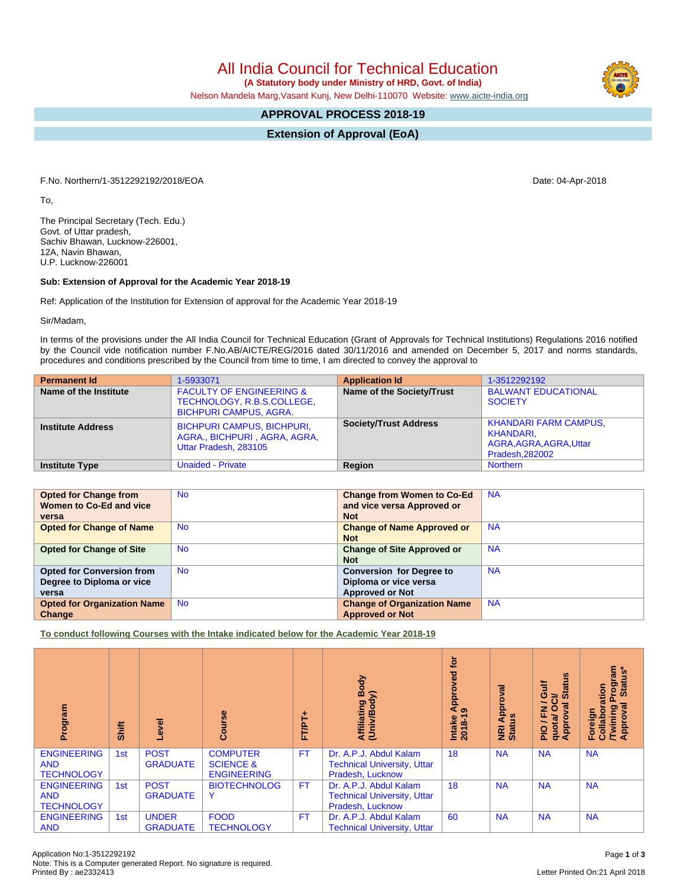All India Council for Technical Education

 **(A Statutory body under Ministry of HRD, Govt. of India)**

Nelson Mandela Marg,Vasant Kunj, New Delhi-110070 Website: [www.aicte-india.org](http://www.aicte-india.org)

## **APPROVAL PROCESS 2018-19**

**Extension of Approval (EoA)**

F.No. Northern/1-3512292192/2018/EOA Date: 04-Apr-2018

To,

The Principal Secretary (Tech. Edu.) Govt. of Uttar pradesh, Sachiv Bhawan, Lucknow-226001, 12A, Navin Bhawan, U.P. Lucknow-226001

## **Sub: Extension of Approval for the Academic Year 2018-19**

Ref: Application of the Institution for Extension of approval for the Academic Year 2018-19

Sir/Madam,

In terms of the provisions under the All India Council for Technical Education (Grant of Approvals for Technical Institutions) Regulations 2016 notified by the Council vide notification number F.No.AB/AICTE/REG/2016 dated 30/11/2016 and amended on December 5, 2017 and norms standards, procedures and conditions prescribed by the Council from time to time, I am directed to convey the approval to

| <b>Permanent Id</b>      | 1-5933071                                                                                          | <b>Application Id</b>        | 1-3512292192                                                                            |
|--------------------------|----------------------------------------------------------------------------------------------------|------------------------------|-----------------------------------------------------------------------------------------|
| Name of the Institute    | <b>FACULTY OF ENGINEERING &amp;</b><br>TECHNOLOGY, R.B.S.COLLEGE,<br><b>BICHPURI CAMPUS, AGRA.</b> | Name of the Society/Trust    | <b>BALWANT EDUCATIONAL</b><br><b>SOCIETY</b>                                            |
| <b>Institute Address</b> | <b>BICHPURI CAMPUS, BICHPURI,</b><br>AGRA., BICHPURI, AGRA, AGRA,<br>Uttar Pradesh, 283105         | <b>Society/Trust Address</b> | <b>KHANDARI FARM CAMPUS,</b><br>KHANDARI.<br>AGRA, AGRA, AGRA, Uttar<br>Pradesh, 282002 |
| <b>Institute Type</b>    | <b>Unaided - Private</b>                                                                           | Region                       | <b>Northern</b>                                                                         |

| <b>Opted for Change from</b>       | <b>No</b> | <b>Change from Women to Co-Ed</b>  | <b>NA</b> |
|------------------------------------|-----------|------------------------------------|-----------|
| Women to Co-Ed and vice            |           | and vice versa Approved or         |           |
| versa                              |           | <b>Not</b>                         |           |
| <b>Opted for Change of Name</b>    | <b>No</b> | <b>Change of Name Approved or</b>  | <b>NA</b> |
|                                    |           | <b>Not</b>                         |           |
| <b>Opted for Change of Site</b>    | <b>No</b> | <b>Change of Site Approved or</b>  | <b>NA</b> |
|                                    |           | <b>Not</b>                         |           |
| <b>Opted for Conversion from</b>   | <b>No</b> | <b>Conversion for Degree to</b>    | <b>NA</b> |
| Degree to Diploma or vice          |           | Diploma or vice versa              |           |
| versa                              |           | <b>Approved or Not</b>             |           |
| <b>Opted for Organization Name</b> | <b>No</b> | <b>Change of Organization Name</b> | <b>NA</b> |
| Change                             |           | <b>Approved or Not</b>             |           |

**To conduct following Courses with the Intake indicated below for the Academic Year 2018-19**

| Program                                               | Shift | g<br>ق                          | $\frac{6}{5}$<br>ω                                            | ٠<br>FT/PT. | Body<br>$\mathbf{\hat{s}}$<br>Affiliating I<br>(Univ/Body                        | <b>b</b><br>yed<br>ο<br><b>Appr</b><br>ာ<br>Intake<br>2018-1 | ಹ<br>۰<br>Appro<br>NRI Ap<br>Status | <b>Status</b><br><b>Jir</b><br>ಕ<br>g<br>O<br>준<br>ppro<br>quotal<br>$\frac{1}{2}$<br>$\blacktriangleleft$ | Program<br>ំខ្ម<br>Stat<br>ation<br>Ţal<br>Collabora<br>/Twining<br>/Approval<br>Foreign |
|-------------------------------------------------------|-------|---------------------------------|---------------------------------------------------------------|-------------|----------------------------------------------------------------------------------|--------------------------------------------------------------|-------------------------------------|------------------------------------------------------------------------------------------------------------|------------------------------------------------------------------------------------------|
| <b>ENGINEERING</b><br><b>AND</b><br><b>TECHNOLOGY</b> | 1st   | <b>POST</b><br><b>GRADUATE</b>  | <b>COMPUTER</b><br><b>SCIENCE &amp;</b><br><b>ENGINEERING</b> | <b>FT</b>   | Dr. A.P.J. Abdul Kalam<br><b>Technical University, Uttar</b><br>Pradesh, Lucknow | 18                                                           | <b>NA</b>                           | <b>NA</b>                                                                                                  | <b>NA</b>                                                                                |
| <b>ENGINEERING</b><br><b>AND</b><br><b>TECHNOLOGY</b> | 1st   | <b>POST</b><br><b>GRADUATE</b>  | <b>BIOTECHNOLOG</b><br>Y                                      | <b>FT</b>   | Dr. A.P.J. Abdul Kalam<br><b>Technical University, Uttar</b><br>Pradesh, Lucknow | 18                                                           | <b>NA</b>                           | <b>NA</b>                                                                                                  | <b>NA</b>                                                                                |
| <b>ENGINEERING</b><br><b>AND</b>                      | 1st   | <b>UNDER</b><br><b>GRADUATE</b> | <b>FOOD</b><br><b>TECHNOLOGY</b>                              | <b>FT</b>   | Dr. A.P.J. Abdul Kalam<br><b>Technical University, Uttar</b>                     | 60                                                           | <b>NA</b>                           | <b>NA</b>                                                                                                  | <b>NA</b>                                                                                |

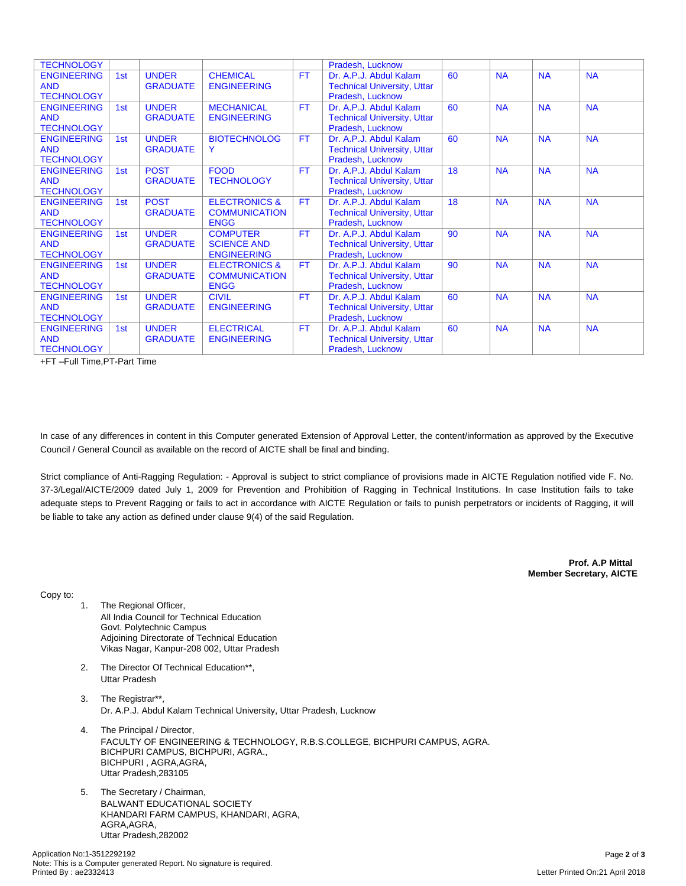| <b>TECHNOLOGY</b>  |     |                 |                          |           | Pradesh, Lucknow                   |    |           |           |           |
|--------------------|-----|-----------------|--------------------------|-----------|------------------------------------|----|-----------|-----------|-----------|
| <b>ENGINEERING</b> | 1st | <b>UNDER</b>    | <b>CHEMICAL</b>          | <b>FT</b> | Dr. A.P.J. Abdul Kalam             | 60 | <b>NA</b> | <b>NA</b> | <b>NA</b> |
| <b>AND</b>         |     | <b>GRADUATE</b> | <b>ENGINEERING</b>       |           | <b>Technical University, Uttar</b> |    |           |           |           |
| <b>TECHNOLOGY</b>  |     |                 |                          |           | Pradesh, Lucknow                   |    |           |           |           |
| <b>ENGINEERING</b> | 1st | <b>UNDER</b>    | <b>MECHANICAL</b>        | <b>FT</b> | Dr. A.P.J. Abdul Kalam             | 60 | <b>NA</b> | <b>NA</b> | <b>NA</b> |
| <b>AND</b>         |     | <b>GRADUATE</b> | <b>ENGINEERING</b>       |           | <b>Technical University, Uttar</b> |    |           |           |           |
| <b>TECHNOLOGY</b>  |     |                 |                          |           | Pradesh, Lucknow                   |    |           |           |           |
| <b>ENGINEERING</b> | 1st | <b>UNDER</b>    | <b>BIOTECHNOLOG</b>      | FT.       | Dr. A.P.J. Abdul Kalam             | 60 | <b>NA</b> | <b>NA</b> | <b>NA</b> |
| <b>AND</b>         |     | <b>GRADUATE</b> | Y                        |           | <b>Technical University, Uttar</b> |    |           |           |           |
| <b>TECHNOLOGY</b>  |     |                 |                          |           | Pradesh, Lucknow                   |    |           |           |           |
| <b>ENGINEERING</b> | 1st | <b>POST</b>     | <b>FOOD</b>              | <b>FT</b> | Dr. A.P.J. Abdul Kalam             | 18 | <b>NA</b> | <b>NA</b> | <b>NA</b> |
| <b>AND</b>         |     | <b>GRADUATE</b> | <b>TECHNOLOGY</b>        |           | <b>Technical University, Uttar</b> |    |           |           |           |
| <b>TECHNOLOGY</b>  |     |                 |                          |           | Pradesh, Lucknow                   |    |           |           |           |
| <b>ENGINEERING</b> | 1st | <b>POST</b>     | <b>ELECTRONICS &amp;</b> | FT.       | Dr. A.P.J. Abdul Kalam             | 18 | <b>NA</b> | <b>NA</b> | <b>NA</b> |
| <b>AND</b>         |     | <b>GRADUATE</b> | <b>COMMUNICATION</b>     |           | <b>Technical University, Uttar</b> |    |           |           |           |
| <b>TECHNOLOGY</b>  |     |                 | <b>ENGG</b>              |           | Pradesh, Lucknow                   |    |           |           |           |
| <b>ENGINEERING</b> | 1st | <b>UNDER</b>    | <b>COMPUTER</b>          | FT.       | Dr. A.P.J. Abdul Kalam             | 90 | <b>NA</b> | <b>NA</b> | <b>NA</b> |
| <b>AND</b>         |     | <b>GRADUATE</b> | <b>SCIENCE AND</b>       |           | <b>Technical University, Uttar</b> |    |           |           |           |
| <b>TECHNOLOGY</b>  |     |                 | <b>ENGINEERING</b>       |           | Pradesh, Lucknow                   |    |           |           |           |
| <b>ENGINEERING</b> | 1st | <b>UNDER</b>    | <b>ELECTRONICS &amp;</b> | <b>FT</b> | Dr. A.P.J. Abdul Kalam             | 90 | <b>NA</b> | <b>NA</b> | <b>NA</b> |
| <b>AND</b>         |     | <b>GRADUATE</b> | <b>COMMUNICATION</b>     |           | <b>Technical University, Uttar</b> |    |           |           |           |
| <b>TECHNOLOGY</b>  |     |                 | <b>ENGG</b>              |           | Pradesh, Lucknow                   |    |           |           |           |
| <b>ENGINEERING</b> | 1st | <b>UNDER</b>    | <b>CIVIL</b>             | <b>FT</b> | Dr. A.P.J. Abdul Kalam             | 60 | <b>NA</b> | <b>NA</b> | <b>NA</b> |
| <b>AND</b>         |     | <b>GRADUATE</b> | <b>ENGINEERING</b>       |           | <b>Technical University, Uttar</b> |    |           |           |           |
| <b>TECHNOLOGY</b>  |     |                 |                          |           | Pradesh, Lucknow                   |    |           |           |           |
| <b>ENGINEERING</b> | 1st | <b>UNDER</b>    | <b>ELECTRICAL</b>        | <b>FT</b> | Dr. A.P.J. Abdul Kalam             | 60 | <b>NA</b> | <b>NA</b> | <b>NA</b> |
| <b>AND</b>         |     | <b>GRADUATE</b> | <b>ENGINEERING</b>       |           | <b>Technical University, Uttar</b> |    |           |           |           |
| <b>TECHNOLOGY</b>  |     |                 |                          |           | Pradesh, Lucknow                   |    |           |           |           |

+FT –Full Time,PT-Part Time

In case of any differences in content in this Computer generated Extension of Approval Letter, the content/information as approved by the Executive Council / General Council as available on the record of AICTE shall be final and binding.

Strict compliance of Anti-Ragging Regulation: - Approval is subject to strict compliance of provisions made in AICTE Regulation notified vide F. No. 37-3/Legal/AICTE/2009 dated July 1, 2009 for Prevention and Prohibition of Ragging in Technical Institutions. In case Institution fails to take adequate steps to Prevent Ragging or fails to act in accordance with AICTE Regulation or fails to punish perpetrators or incidents of Ragging, it will be liable to take any action as defined under clause 9(4) of the said Regulation.

> **Prof. A.P Mittal Member Secretary, AICTE**

Copy to:

- 1. The Regional Officer, All India Council for Technical Education Govt. Polytechnic Campus Adjoining Directorate of Technical Education Vikas Nagar, Kanpur-208 002, Uttar Pradesh
- 2. The Director Of Technical Education\*\*, Uttar Pradesh
- 3. The Registrar\*\*, Dr. A.P.J. Abdul Kalam Technical University, Uttar Pradesh, Lucknow
- 4. The Principal / Director, FACULTY OF ENGINEERING & TECHNOLOGY, R.B.S.COLLEGE, BICHPURI CAMPUS, AGRA. BICHPURI CAMPUS, BICHPURI, AGRA., BICHPURI , AGRA,AGRA, Uttar Pradesh,283105
- 5. The Secretary / Chairman, BALWANT EDUCATIONAL SOCIETY KHANDARI FARM CAMPUS, KHANDARI, AGRA, AGRA,AGRA, Uttar Pradesh,282002